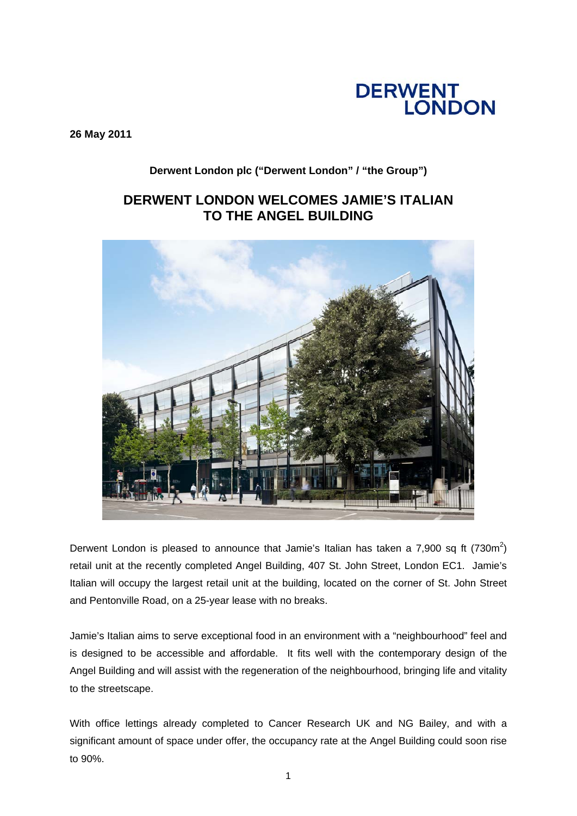# **DERWENT<br>LONDON**

**26 May 2011** 

### **Derwent London plc ("Derwent London" / "the Group")**

## **DERWENT LONDON WELCOMES JAMIE'S ITALIAN TO THE ANGEL BUILDING**



Derwent London is pleased to announce that Jamie's Italian has taken a 7,900 sq ft (730m<sup>2</sup>) retail unit at the recently completed Angel Building, 407 St. John Street, London EC1. Jamie's Italian will occupy the largest retail unit at the building, located on the corner of St. John Street and Pentonville Road, on a 25-year lease with no breaks.

Jamie's Italian aims to serve exceptional food in an environment with a "neighbourhood" feel and is designed to be accessible and affordable. It fits well with the contemporary design of the Angel Building and will assist with the regeneration of the neighbourhood, bringing life and vitality to the streetscape.

With office lettings already completed to Cancer Research UK and NG Bailey, and with a significant amount of space under offer, the occupancy rate at the Angel Building could soon rise to 90%.